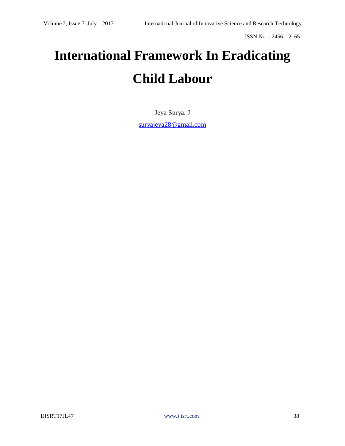# **International Framework In Eradicating Child Labour**

Jeya Surya. J [suryajeya28@gmail.com](mailto:suryajeya28@gmail.com)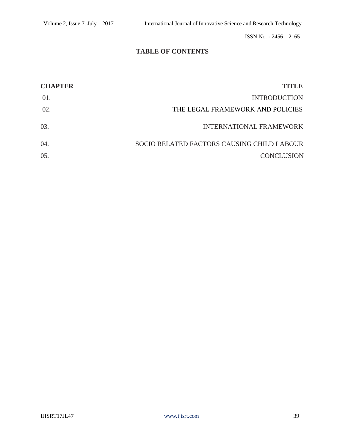## **TABLE OF CONTENTS**

| <b>CHAPTER</b> | <b>TITLE</b>                               |
|----------------|--------------------------------------------|
| 01.            | <b>INTRODUCTION</b>                        |
| 02.            | THE LEGAL FRAMEWORK AND POLICIES           |
| 03.            | <b>INTERNATIONAL FRAMEWORK</b>             |
| 04.            | SOCIO RELATED FACTORS CAUSING CHILD LABOUR |
| 05.            | <b>CONCLUSION</b>                          |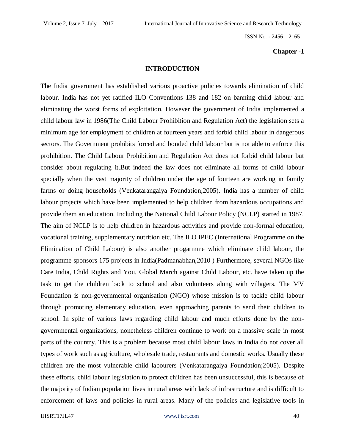#### **Chapter -1**

#### **INTRODUCTION**

The India government has established various proactive policies towards elimination of child labour. India has not yet ratified ILO Conventions 138 and 182 on banning child labour and eliminating the worst forms of exploitation. However the government of India implemented a child labour law in 1986(The Child Labour Prohibition and Regulation Act) the legislation sets a minimum age for employment of children at fourteen years and forbid child labour in dangerous sectors. The Government prohibits forced and bonded child labour but is not able to enforce this prohibition. The Child Labour Prohibition and Regulation Act does not forbid child labour but consider about regulating it.But indeed the law does not eliminate all forms of child labour specially when the vast majority of children under the age of fourteen are working in family farms or doing households (Venkatarangaiya Foundation;2005). India has a number of child labour projects which have been implemented to help children from hazardous occupations and provide them an education. Including the National Child Labour Policy (NCLP) started in 1987. The aim of NCLP is to help children in hazardous activities and provide non-formal education, vocational training, supplementary nutrition etc. The ILO IPEC (International Programme on the Elimination of Child Labour) is also another progarmme which eliminate child labour, the programme sponsors 175 projects in India(Padmanabhan,2010 ) Furthermore, several NGOs like Care India, Child Rights and You, Global March against Child Labour, etc. have taken up the task to get the children back to school and also volunteers along with villagers. The MV Foundation is non-governmental organisation (NGO) whose mission is to tackle child labour through promoting elementary education, even approaching parents to send their children to school. In spite of various laws regarding child labour and much efforts done by the nongovernmental organizations, nonetheless children continue to work on a massive scale in most parts of the country. This is a problem because most child labour laws in India do not cover all types of work such as agriculture, wholesale trade, restaurants and domestic works. Usually these children are the most vulnerable child labourers (Venkatarangaiya Foundation;2005). Despite these efforts, child labour legislation to protect children has been unsuccessful, this is because of the majority of Indian population lives in rural areas with lack of infrastructure and is difficult to enforcement of laws and policies in rural areas. Many of the policies and legislative tools in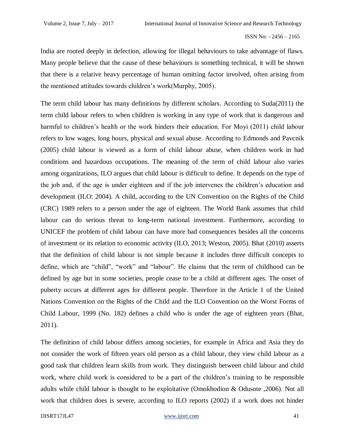India are rooted deeply in defection, allowing for illegal behaviours to take advantage of flaws. Many people believe that the cause of these behaviours is something technical, it will be shown that there is a relative heavy percentage of human omitting factor involved, often arising from the mentioned attitudes towards children's work(Murphy, 2005).

The term child labour has many definitions by different scholars. According to Suda(2011) the term child labour refers to when children is working in any type of work that is dangerous and harmful to children's health or the work hinders their education. For Moyi (2011) child labour refers to low wages, long hours, physical and sexual abuse. According to Edmonds and Pavcnik (2005) child labour is viewed as a form of child labour abuse, when children work in bad conditions and hazardous occupations. The meaning of the term of child labour also varies among organizations, ILO argues that child labour is difficult to define. It depends on the type of the job and, if the age is under eighteen and if the job intervenes the children's education and development (ILO: 2004). A child, according to the UN Convention on the Rights of the Child (CRC) 1989 refers to a person under the age of eighteen. The World Bank assumes that child labour can do serious threat to long-term national investment. Furthermore, according to UNICEF the problem of child labour can have more bad consequences besides all the concerns of investment or its relation to economic activity (ILO, 2013; Weston, 2005). Bhat (2010) asserts that the definition of child labour is not simple because it includes three difficult concepts to define, which are "child", "work" and "labour". He claims that the term of childhood can be defined by age but in some societies, people cease to be a child at different ages. The onset of puberty occurs at different ages for different people. Therefore in the Article 1 of the United Nations Convention on the Rights of the Child and the ILO Convention on the Worst Forms of Child Labour, 1999 (No. 182) defines a child who is under the age of eighteen years (Bhat, 2011).

The definition of child labour differs among societies, for example in Africa and Asia they do not consider the work of fifteen years old person as a child labour, they view child labour as a good task that children learn skills from work. They distinguish between child labour and child work, where child work is considered to be a part of the children's training to be responsible adults while child labour is thought to be exploitative (Omokhodion & Odusote ,2006). Not all work that children does is severe, according to ILO reports (2002) if a work does not hinder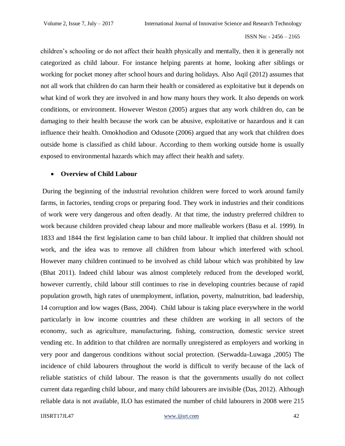children's schooling or do not affect their health physically and mentally, then it is generally not categorized as child labour. For instance helping parents at home, looking after siblings or working for pocket money after school hours and during holidays. Also Aqil (2012) assumes that not all work that children do can harm their health or considered as exploitative but it depends on what kind of work they are involved in and how many hours they work. It also depends on work conditions, or environment. However Weston (2005) argues that any work children do, can be damaging to their health because the work can be abusive, exploitative or hazardous and it can influence their health. Omokhodion and Odusote (2006) argued that any work that children does outside home is classified as child labour. According to them working outside home is usually exposed to environmental hazards which may affect their health and safety.

### **Overview of Child Labour**

During the beginning of the industrial revolution children were forced to work around family farms, in factories, tending crops or preparing food. They work in industries and their conditions of work were very dangerous and often deadly. At that time, the industry preferred children to work because children provided cheap labour and more malleable workers (Basu et al. 1999). In 1833 and 1844 the first legislation came to ban child labour. It implied that children should not work, and the idea was to remove all children from labour which interfered with school. However many children continued to be involved as child labour which was prohibited by law (Bhat 2011). Indeed child labour was almost completely reduced from the developed world, however currently, child labour still continues to rise in developing countries because of rapid population growth, high rates of unemployment, inflation, poverty, malnutrition, bad leadership, 14 corruption and low wages (Bass, 2004). Child labour is taking place everywhere in the world particularly in low income countries and these children are working in all sectors of the economy, such as agriculture, manufacturing, fishing, construction, domestic service street vending etc. In addition to that children are normally unregistered as employers and working in very poor and dangerous conditions without social protection. (Serwadda-Luwaga ,2005) The incidence of child labourers throughout the world is difficult to verify because of the lack of reliable statistics of child labour. The reason is that the governments usually do not collect current data regarding child labour, and many child labourers are invisible (Das, 2012). Although reliable data is not available, ILO has estimated the number of child labourers in 2008 were 215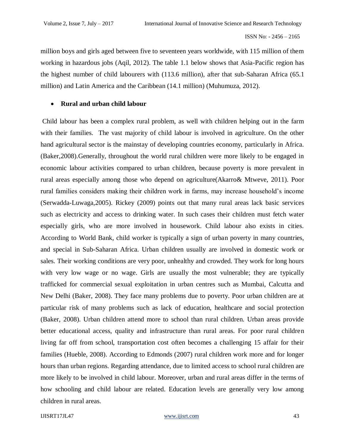million boys and girls aged between five to seventeen years worldwide, with 115 million of them working in hazardous jobs (Aqil, 2012). The table 1.1 below shows that Asia-Pacific region has the highest number of child labourers with (113.6 million), after that sub-Saharan Africa (65.1 million) and Latin America and the Caribbean (14.1 million) (Muhumuza, 2012).

### **Rural and urban child labour**

Child labour has been a complex rural problem, as well with children helping out in the farm with their families. The vast majority of child labour is involved in agriculture. On the other hand agricultural sector is the mainstay of developing countries economy, particularly in Africa. (Baker,2008).Generally, throughout the world rural children were more likely to be engaged in economic labour activities compared to urban children, because poverty is more prevalent in rural areas especially among those who depend on agriculture(Akarro& Mtweve, 2011). Poor rural families considers making their children work in farms, may increase household's income (Serwadda-Luwaga,2005). Rickey (2009) points out that many rural areas lack basic services such as electricity and access to drinking water. In such cases their children must fetch water especially girls, who are more involved in housework. Child labour also exists in cities. According to World Bank, child worker is typically a sign of urban poverty in many countries, and special in Sub-Saharan Africa. Urban children usually are involved in domestic work or sales. Their working conditions are very poor, unhealthy and crowded. They work for long hours with very low wage or no wage. Girls are usually the most vulnerable; they are typically trafficked for commercial sexual exploitation in urban centres such as Mumbai, Calcutta and New Delhi (Baker, 2008). They face many problems due to poverty. Poor urban children are at particular risk of many problems such as lack of education, healthcare and social protection (Baker, 2008). Urban children attend more to school than rural children. Urban areas provide better educational access, quality and infrastructure than rural areas. For poor rural children living far off from school, transportation cost often becomes a challenging 15 affair for their families (Hueble, 2008). According to Edmonds (2007) rural children work more and for longer hours than urban regions. Regarding attendance, due to limited access to school rural children are more likely to be involved in child labour. Moreover, urban and rural areas differ in the terms of how schooling and child labour are related. Education levels are generally very low among children in rural areas.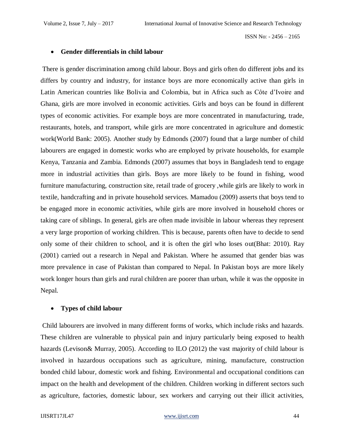#### **Gender differentials in child labour**

There is gender discrimination among child labour. Boys and girls often do different jobs and its differs by country and industry, for instance boys are more economically active than girls in Latin American countries like Bolivia and Colombia, but in Africa such as Côte d'Ivoire and Ghana, girls are more involved in economic activities. Girls and boys can be found in different types of economic activities. For example boys are more concentrated in manufacturing, trade, restaurants, hotels, and transport, while girls are more concentrated in agriculture and domestic work(World Bank: 2005). Another study by Edmonds (2007) found that a large number of child labourers are engaged in domestic works who are employed by private households, for example Kenya, Tanzania and Zambia. Edmonds (2007) assumes that boys in Bangladesh tend to engage more in industrial activities than girls. Boys are more likely to be found in fishing, wood furniture manufacturing, construction site, retail trade of grocery ,while girls are likely to work in textile, handcrafting and in private household services. Mamadou (2009) asserts that boys tend to be engaged more in economic activities, while girls are more involved in household chores or taking care of siblings. In general, girls are often made invisible in labour whereas they represent a very large proportion of working children. This is because, parents often have to decide to send only some of their children to school, and it is often the girl who loses out(Bhat: 2010). Ray (2001) carried out a research in Nepal and Pakistan. Where he assumed that gender bias was more prevalence in case of Pakistan than compared to Nepal. In Pakistan boys are more likely work longer hours than girls and rural children are poorer than urban, while it was the opposite in Nepal.

#### **Types of child labour**

Child labourers are involved in many different forms of works, which include risks and hazards. These children are vulnerable to physical pain and injury particularly being exposed to health hazards (Levison & Murray, 2005). According to ILO (2012) the vast majority of child labour is involved in hazardous occupations such as agriculture, mining, manufacture, construction bonded child labour, domestic work and fishing. Environmental and occupational conditions can impact on the health and development of the children. Children working in different sectors such as agriculture, factories, domestic labour, sex workers and carrying out their illicit activities,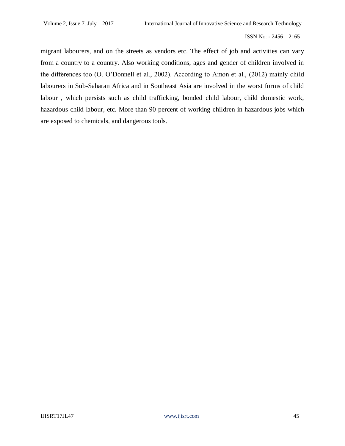migrant labourers, and on the streets as vendors etc. The effect of job and activities can vary from a country to a country. Also working conditions, ages and gender of children involved in the differences too (O. O'Donnell et al., 2002). According to Amon et al., (2012) mainly child labourers in Sub-Saharan Africa and in Southeast Asia are involved in the worst forms of child labour , which persists such as child trafficking, bonded child labour, child domestic work, hazardous child labour, etc. More than 90 percent of working children in hazardous jobs which are exposed to chemicals, and dangerous tools.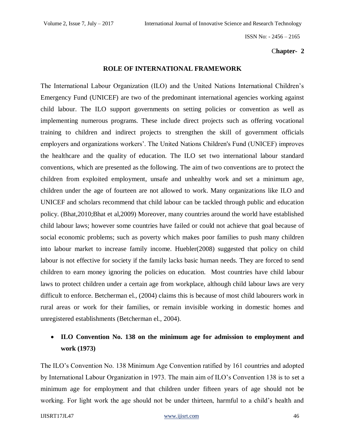#### C**hapter- 2**

#### **ROLE OF INTERNATIONAL FRAMEWORK**

The International Labour Organization (ILO) and the United Nations International Children's Emergency Fund (UNICEF) are two of the predominant international agencies working against child labour. The ILO support governments on setting policies or convention as well as implementing numerous programs. These include direct projects such as offering vocational training to children and indirect projects to strengthen the skill of government officials employers and organizations workers'. The United Nations Children's Fund (UNICEF) improves the healthcare and the quality of education. The ILO set two international labour standard conventions, which are presented as the following. The aim of two conventions are to protect the children from exploited employment, unsafe and unhealthy work and set a minimum age, children under the age of fourteen are not allowed to work. Many organizations like ILO and UNICEF and scholars recommend that child labour can be tackled through public and education policy. (Bhat,2010;Bhat et al,2009) Moreover, many countries around the world have established child labour laws; however some countries have failed or could not achieve that goal because of social economic problems; such as poverty which makes poor families to push many children into labour market to increase family income. Huebler(2008) suggested that policy on child labour is not effective for society if the family lacks basic human needs. They are forced to send children to earn money ignoring the policies on education. Most countries have child labour laws to protect children under a certain age from workplace, although child labour laws are very difficult to enforce. Betcherman el., (2004) claims this is because of most child labourers work in rural areas or work for their families, or remain invisible working in domestic homes and unregistered establishments (Betcherman el., 2004).

# **ILO Convention No. 138 on the minimum age for admission to employment and work (1973)**

The ILO's Convention No. 138 Minimum Age Convention ratified by 161 countries and adopted by International Labour Organization in 1973. The main aim of ILO's Convention 138 is to set a minimum age for employment and that children under fifteen years of age should not be working. For light work the age should not be under thirteen, harmful to a child's health and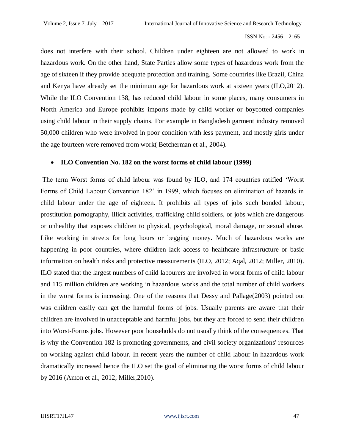does not interfere with their school. Children under eighteen are not allowed to work in hazardous work. On the other hand, State Parties allow some types of hazardous work from the age of sixteen if they provide adequate protection and training. Some countries like Brazil, China and Kenya have already set the minimum age for hazardous work at sixteen years (ILO,2012). While the ILO Convention 138, has reduced child labour in some places, many consumers in North America and Europe prohibits imports made by child worker or boycotted companies using child labour in their supply chains. For example in Bangladesh garment industry removed 50,000 children who were involved in poor condition with less payment, and mostly girls under the age fourteen were removed from work( Betcherman et al., 2004).

### **ILO Convention No. 182 on the worst forms of child labour (1999)**

The term Worst forms of child labour was found by ILO, and 174 countries ratified 'Worst Forms of Child Labour Convention 182' in 1999, which focuses on elimination of hazards in child labour under the age of eighteen. It prohibits all types of jobs such bonded labour, prostitution pornography, illicit activities, trafficking child soldiers, or jobs which are dangerous or unhealthy that exposes children to physical, psychological, moral damage, or sexual abuse. Like working in streets for long hours or begging money. Much of hazardous works are happening in poor countries, where children lack access to healthcare infrastructure or basic information on health risks and protective measurements (ILO, 2012; Aqal, 2012; Miller, 2010). ILO stated that the largest numbers of child labourers are involved in worst forms of child labour and 115 million children are working in hazardous works and the total number of child workers in the worst forms is increasing. One of the reasons that Dessy and Pallage(2003) pointed out was children easily can get the harmful forms of jobs. Usually parents are aware that their children are involved in unacceptable and harmful jobs, but they are forced to send their children into Worst-Forms jobs. However poor households do not usually think of the consequences. That is why the Convention 182 is promoting governments, and civil society organizations' resources on working against child labour. In recent years the number of child labour in hazardous work dramatically increased hence the ILO set the goal of eliminating the worst forms of child labour by 2016 (Amon et al., 2012; Miller,2010).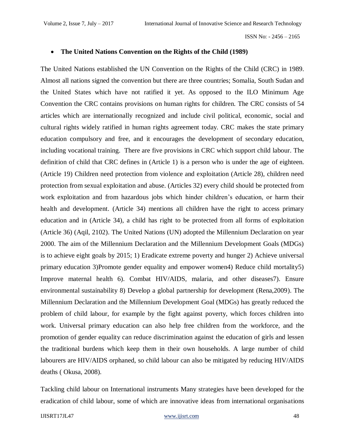#### **The United Nations Convention on the Rights of the Child (1989)**

The United Nations established the UN Convention on the Rights of the Child (CRC) in 1989. Almost all nations signed the convention but there are three countries; Somalia, South Sudan and the United States which have not ratified it yet. As opposed to the ILO Minimum Age Convention the CRC contains provisions on human rights for children. The CRC consists of 54 articles which are internationally recognized and include civil political, economic, social and cultural rights widely ratified in human rights agreement today. CRC makes the state primary education compulsory and free, and it encourages the development of secondary education, including vocational training. There are five provisions in CRC which support child labour. The definition of child that CRC defines in (Article 1) is a person who is under the age of eighteen. (Article 19) Children need protection from violence and exploitation (Article 28), children need protection from sexual exploitation and abuse. (Articles 32) every child should be protected from work exploitation and from hazardous jobs which hinder children's education, or harm their health and development. (Article 34) mentions all children have the right to access primary education and in (Article 34), a child has right to be protected from all forms of exploitation (Article 36) (Aqil, 2102). The United Nations (UN) adopted the Millennium Declaration on year 2000. The aim of the Millennium Declaration and the Millennium Development Goals (MDGs) is to achieve eight goals by 2015; 1) Eradicate extreme poverty and hunger 2) Achieve universal primary education 3)Promote gender equality and empower women4) Reduce child mortality5) Improve maternal health 6). Combat HIV/AIDS, malaria, and other diseases7). Ensure environmental sustainability 8) Develop a global partnership for development (Rena,2009). The Millennium Declaration and the Millennium Development Goal (MDGs) has greatly reduced the problem of child labour, for example by the fight against poverty, which forces children into work. Universal primary education can also help free children from the workforce, and the promotion of gender equality can reduce discrimination against the education of girls and lessen the traditional burdens which keep them in their own households. A large number of child labourers are HIV/AIDS orphaned, so child labour can also be mitigated by reducing HIV/AIDS deaths ( Okusa, 2008).

Tackling child labour on International instruments Many strategies have been developed for the eradication of child labour, some of which are innovative ideas from international organisations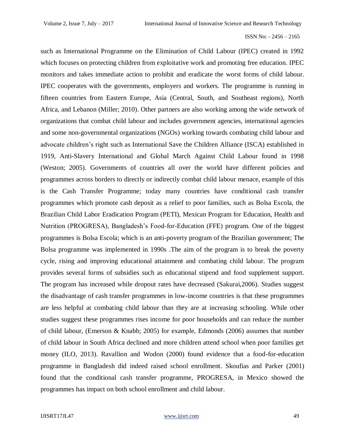such as International Programme on the Elimination of Child Labour (IPEC) created in 1992 which focuses on protecting children from exploitative work and promoting free education. IPEC monitors and takes immediate action to prohibit and eradicate the worst forms of child labour. IPEC cooperates with the governments, employers and workers. The programme is running in fifteen countries from Eastern Europe, Asia (Central, South, and Southeast regions), North Africa, and Lebanon (Miller; 2010). Other partners are also working among the wide network of organizations that combat child labour and includes government agencies, international agencies and some non-governmental organizations (NGOs) working towards combating child labour and advocate children's right such as International Save the Children Alliance (ISCA) established in 1919, Anti-Slavery International and Global March Against Child Labour found in 1998 (Weston; 2005). Governments of countries all over the world have different policies and programmes across borders to directly or indirectly combat child labour menace, example of this is the Cash Transfer Programme; today many countries have conditional cash transfer programmes which promote cash deposit as a relief to poor families, such as Bolsa Escola, the Brazilian Child Labor Eradication Program (PETI), Mexican Program for Education, Health and Nutrition (PROGRESA), Bangladesh's Food-for-Education (FFE) program. One of the biggest programmes is Bolsa Escola; which is an anti-poverty program of the Brazilian government; The Bolsa programme was implemented in 1990s .The aim of the program is to break the poverty cycle, rising and improving educational attainment and combating child labour. The program provides several forms of subsidies such as educational stipend and food supplement support. The program has increased while dropout rates have decreased (Sakurai,2006). Studies suggest the disadvantage of cash transfer programmes in low-income countries is that these programmes are less helpful at combating child labour than they are at increasing schooling. While other studies suggest these programmes rises income for poor households and can reduce the number of child labour, (Emerson & Knabb; 2005) for example, Edmonds (2006) assumes that number of child labour in South Africa declined and more children attend school when poor families get money (ILO, 2013). Ravallion and Wodon (2000) found evidence that a food-for-education programme in Bangladesh did indeed raised school enrollment. Skoufias and Parker (2001) found that the conditional cash transfer programme, PROGRESA, in Mexico showed the programmes has impact on both school enrollment and child labour.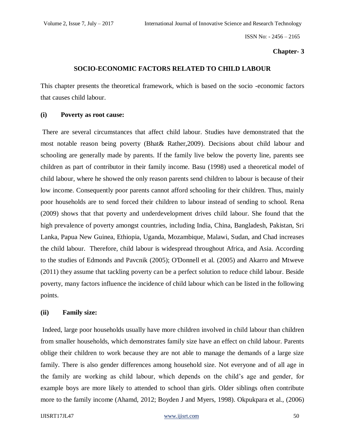#### **Chapter- 3**

#### **SOCIO-ECONOMIC FACTORS RELATED TO CHILD LABOUR**

This chapter presents the theoretical framework, which is based on the socio -economic factors that causes child labour.

#### **(i) Poverty as root cause:**

There are several circumstances that affect child labour. Studies have demonstrated that the most notable reason being poverty (Bhat& Rather,2009). Decisions about child labour and schooling are generally made by parents. If the family live below the poverty line, parents see children as part of contributor in their family income. Basu (1998) used a theoretical model of child labour, where he showed the only reason parents send children to labour is because of their low income. Consequently poor parents cannot afford schooling for their children. Thus, mainly poor households are to send forced their children to labour instead of sending to school. Rena (2009) shows that that poverty and underdevelopment drives child labour. She found that the high prevalence of poverty amongst countries, including India, China, Bangladesh, Pakistan, Sri Lanka, Papua New Guinea, Ethiopia, Uganda, Mozambique, Malawi, Sudan, and Chad increases the child labour. Therefore, child labour is widespread throughout Africa, and Asia. According to the studies of Edmonds and Pavcnik (2005); O'Donnell et al. (2005) and Akarro and Mtweve (2011) they assume that tackling poverty can be a perfect solution to reduce child labour. Beside poverty, many factors influence the incidence of child labour which can be listed in the following points.

#### **(ii) Family size:**

Indeed, large poor households usually have more children involved in child labour than children from smaller households, which demonstrates family size have an effect on child labour. Parents oblige their children to work because they are not able to manage the demands of a large size family. There is also gender differences among household size. Not everyone and of all age in the family are working as child labour, which depends on the child's age and gender, for example boys are more likely to attended to school than girls. Older siblings often contribute more to the family income (Ahamd, 2012; Boyden J and Myers, 1998). Okpukpara et al., (2006)

#### IJISRT17JL47 <www.ijisrt.com>50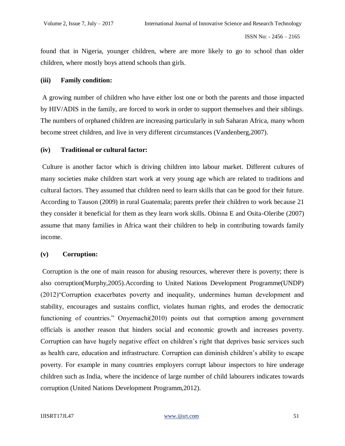found that in Nigeria, younger children, where are more likely to go to school than older children, where mostly boys attend schools than girls.

#### **(iii) Family condition:**

A growing number of children who have either lost one or both the parents and those impacted by HIV/ADIS in the family, are forced to work in order to support themselves and their siblings. The numbers of orphaned children are increasing particularly in sub Saharan Africa, many whom become street children, and live in very different circumstances (Vandenberg,2007).

### **(iv) Traditional or cultural factor:**

Culture is another factor which is driving children into labour market. Different cultures of many societies make children start work at very young age which are related to traditions and cultural factors. They assumed that children need to learn skills that can be good for their future. According to Tauson (2009) in rural Guatemala; parents prefer their children to work because 21 they consider it beneficial for them as they learn work skills. Obinna E and Osita-Oleribe (2007) assume that many families in Africa want their children to help in contributing towards family income.

### **(v) Corruption:**

Corruption is the one of main reason for abusing resources, wherever there is poverty; there is also corruption(Murphy,2005).According to United Nations Development Programme(UNDP) (2012)"Corruption exacerbates poverty and inequality, undermines human development and stability, encourages and sustains conflict, violates human rights, and erodes the democratic functioning of countries." Onyemachi(2010) points out that corruption among government officials is another reason that hinders social and economic growth and increases poverty. Corruption can have hugely negative effect on children's right that deprives basic services such as health care, education and infrastructure. Corruption can diminish children's ability to escape poverty. For example in many countries employers corrupt labour inspectors to hire underage children such as India, where the incidence of large number of child labourers indicates towards corruption (United Nations Development Programm,2012).

#### IJISRT17JL47 <www.ijisrt.com>51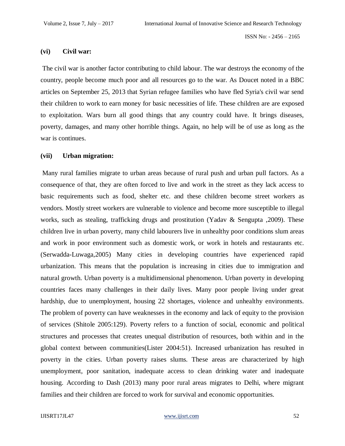#### **(vi) Civil war:**

The civil war is another factor contributing to child labour. The war destroys the economy of the country, people become much poor and all resources go to the war. As Doucet noted in a BBC articles on September 25, 2013 that Syrian refugee families who have fled Syria's civil war send their children to work to earn money for basic necessities of life. These children are are exposed to exploitation. Wars burn all good things that any country could have. It brings diseases, poverty, damages, and many other horrible things. Again, no help will be of use as long as the war is continues.

#### **(vii) Urban migration:**

Many rural families migrate to urban areas because of rural push and urban pull factors. As a consequence of that, they are often forced to live and work in the street as they lack access to basic requirements such as food, shelter etc. and these children become street workers as vendors. Mostly street workers are vulnerable to violence and become more susceptible to illegal works, such as stealing, trafficking drugs and prostitution (Yadav & Sengupta ,2009). These children live in urban poverty, many child labourers live in unhealthy poor conditions slum areas and work in poor environment such as domestic work, or work in hotels and restaurants etc. (Serwadda-Luwaga,2005) Many cities in developing countries have experienced rapid urbanization. This means that the population is increasing in cities due to immigration and natural growth. Urban poverty is a multidimensional phenomenon. Urban poverty in developing countries faces many challenges in their daily lives. Many poor people living under great hardship, due to unemployment, housing 22 shortages, violence and unhealthy environments. The problem of poverty can have weaknesses in the economy and lack of equity to the provision of services (Shitole 2005:129). Poverty refers to a function of social, economic and political structures and processes that creates unequal distribution of resources, both within and in the global context between communities(Lister 2004:51). Increased urbanization has resulted in poverty in the cities. Urban poverty raises slums. These areas are characterized by high unemployment, poor sanitation, inadequate access to clean drinking water and inadequate housing. According to Dash (2013) many poor rural areas migrates to Delhi, where migrant families and their children are forced to work for survival and economic opportunities.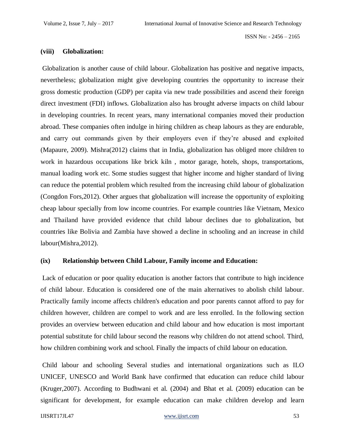#### **(viii) Globalization:**

Globalization is another cause of child labour. Globalization has positive and negative impacts, nevertheless; globalization might give developing countries the opportunity to increase their gross domestic production (GDP) per capita via new trade possibilities and ascend their foreign direct investment (FDI) inflows. Globalization also has brought adverse impacts on child labour in developing countries. In recent years, many international companies moved their production abroad. These companies often indulge in hiring children as cheap labours as they are endurable, and carry out commands given by their employers even if they're abused and exploited (Mapaure, 2009). Mishra(2012) claims that in India, globalization has obliged more children to work in hazardous occupations like brick kiln , motor garage, hotels, shops, transportations, manual loading work etc. Some studies suggest that higher income and higher standard of living can reduce the potential problem which resulted from the increasing child labour of globalization (Congdon Fors,2012). Other argues that globalization will increase the opportunity of exploiting cheap labour specially from low income countries. For example countries like Vietnam, Mexico and Thailand have provided evidence that child labour declines due to globalization, but countries like Bolivia and Zambia have showed a decline in schooling and an increase in child labour(Mishra,2012).

#### **(ix) Relationship between Child Labour, Family income and Education:**

Lack of education or poor quality education is another factors that contribute to high incidence of child labour. Education is considered one of the main alternatives to abolish child labour. Practically family income affects children's education and poor parents cannot afford to pay for children however, children are compel to work and are less enrolled. In the following section provides an overview between education and child labour and how education is most important potential substitute for child labour second the reasons why children do not attend school. Third, how children combining work and school. Finally the impacts of child labour on education.

Child labour and schooling Several studies and international organizations such as ILO UNICEF, UNESCO and World Bank have confirmed that education can reduce child labour (Kruger,2007). According to Budhwani et al. (2004) and Bhat et al. (2009) education can be significant for development, for example education can make children develop and learn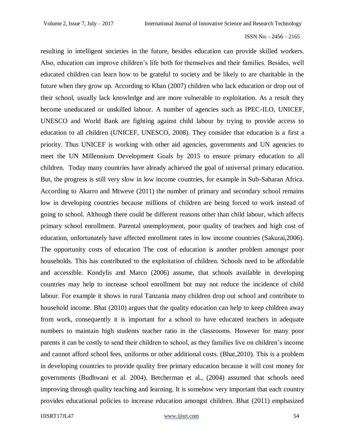resulting in intelligent societies in the future, besides education can provide skilled workers. Also, education can improve children's life both for themselves and their families. Besides, well educated children can learn how to be grateful to society and be likely to are charitable in the future when they grow up. According to Khan (2007) children who lack education or drop out of their school, usually lack knowledge and are more vulnerable to exploitation. As a result they become uneducated or unskilled labour. A number of agencies such as IPEC-ILO, UNICEF, UNESCO and World Bank are fighting against child labour by trying to provide access to education to all children (UNICEF, UNESCO, 2008). They consider that education is a first a priority. Thus UNICEF is working with other aid agencies, governments and UN agencies to meet the UN Millennium Development Goals by 2015 to ensure primary education to all children. Today many countries have already achieved the goal of universal primary education. But, the progress is still very slow in low income countries, for example in Sub-Saharan Africa. According to Akarro and Mtweve (2011) the number of primary and secondary school remains low in developing countries because millions of children are being forced to work instead of going to school. Although there could be different reasons other than child labour, which affects primary school enrollment. Parental unemployment, poor quality of teachers and high cost of education, unfortunately have affected enrollment rates in low income countries (Sakurai,2006). The opportunity costs of education The cost of education is another problem amongst poor households. This has contributed to the exploitation of children. Schools need to be affordable and accessible. Kondylis and Marco (2006) assume, that schools available in developing countries may help to increase school enrollment but may not reduce the incidence of child labour. For example it shows in rural Tanzania many children drop out school and contribute to household income. Bhat (2010) argues that the quality education can help to keep children away from work, consequently it is important for a school to have educated teachers in adequate numbers to maintain high students teacher ratio in the classrooms. However for many poor parents it can be costly to send their children to school, as they families live on children's income and cannot afford school fees, uniforms or other additional costs. (Bhat,2010). This is a problem in developing countries to provide quality free primary education because it will cost money for governments (Budhwani et al. 2004). Betcherman et al., (2004) assumed that schools need improving through quality teaching and learning. It is somehow very important that each country provides educational policies to increase education amongst children. Bhat (2011) emphasized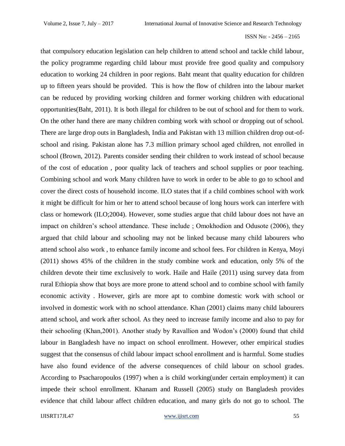that compulsory education legislation can help children to attend school and tackle child labour, the policy programme regarding child labour must provide free good quality and compulsory education to working 24 children in poor regions. Baht meant that quality education for children up to fifteen years should be provided. This is how the flow of children into the labour market can be reduced by providing working children and former working children with educational opportunities(Baht, 2011). It is both illegal for children to be out of school and for them to work. On the other hand there are many children combing work with school or dropping out of school. There are large drop outs in Bangladesh, India and Pakistan with 13 million children drop out-ofschool and rising. Pakistan alone has 7.3 million primary school aged children, not enrolled in school (Brown, 2012). Parents consider sending their children to work instead of school because of the cost of education , poor quality lack of teachers and school supplies or poor teaching. Combining school and work Many children have to work in order to be able to go to school and cover the direct costs of household income. ILO states that if a child combines school with work it might be difficult for him or her to attend school because of long hours work can interfere with class or homework (ILO;2004). However, some studies argue that child labour does not have an impact on children's school attendance. These include ; Omokhodion and Odusote (2006), they argued that child labour and schooling may not be linked because many child labourers who attend school also work , to enhance family income and school fees. For children in Kenya, Moyi (2011) shows 45% of the children in the study combine work and education, only 5% of the children devote their time exclusively to work. Haile and Haile (2011) using survey data from rural Ethiopia show that boys are more prone to attend school and to combine school with family economic activity . However, girls are more apt to combine domestic work with school or involved in domestic work with no school attendance. Khan (2001) claims many child labourers attend school, and work after school. As they need to increase family income and also to pay for their schooling (Khan,2001). Another study by Ravallion and Wodon's (2000) found that child labour in Bangladesh have no impact on school enrollment. However, other empirical studies suggest that the consensus of child labour impact school enrollment and is harmful. Some studies have also found evidence of the adverse consequences of child labour on school grades. According to Psacharopoulos (1997) when a is child working(under certain employment) it can impede their school enrollment. Khanam and Russell (2005) study on Bangladesh provides evidence that child labour affect children education, and many girls do not go to school. The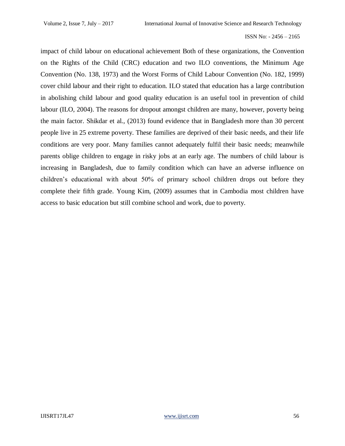impact of child labour on educational achievement Both of these organizations, the Convention on the Rights of the Child (CRC) education and two ILO conventions, the Minimum Age Convention (No. 138, 1973) and the Worst Forms of Child Labour Convention (No. 182, 1999) cover child labour and their right to education. ILO stated that education has a large contribution in abolishing child labour and good quality education is an useful tool in prevention of child labour (ILO, 2004). The reasons for dropout amongst children are many, however, poverty being the main factor. Shikdar et al., (2013) found evidence that in Bangladesh more than 30 percent people live in 25 extreme poverty. These families are deprived of their basic needs, and their life conditions are very poor. Many families cannot adequately fulfil their basic needs; meanwhile parents oblige children to engage in risky jobs at an early age. The numbers of child labour is increasing in Bangladesh, due to family condition which can have an adverse influence on children's educational with about 50% of primary school children drops out before they complete their fifth grade. Young Kim, (2009) assumes that in Cambodia most children have access to basic education but still combine school and work, due to poverty.